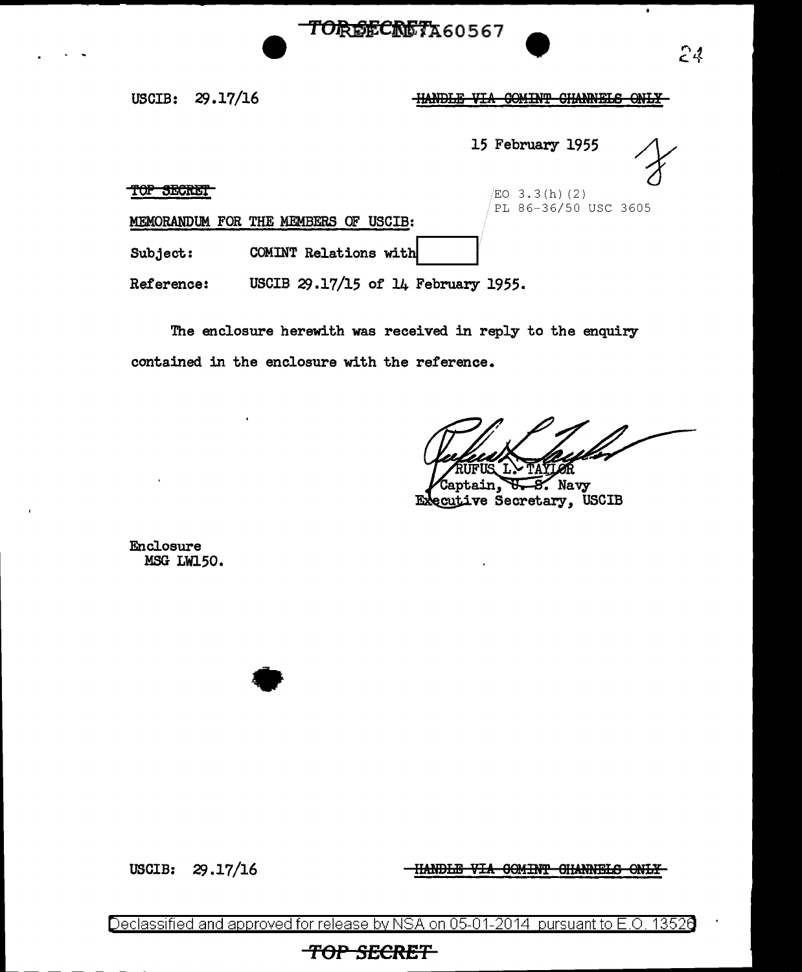

USCIB: 29.17/16

## **HANDLE VIA COMINT CHANNELS ONLY**

15 February 1955

 $\frac{1}{2}$  TOP SECRET PL 86-36/50 USC 3605

MEMORANDUM FOR THE MEMBERS OF USCIB:

 $Subject:$  COMINT Relations with

•

Reference: USCIB 29.17/15 of 14 February 1955.

The enclosure herewith was received in reply to the enquiry contained in the enclosure with the reference.

Navy я ecutive Secretary, USCIB Eй

Enclosure MSG LW150.

USCIB:  $29.17/16$  -HANDLE VIA GOMINT GHANNELS ONLY

Declassified and approved for release by NSA on 05-01-2014 pursuant to E.O. 1352e